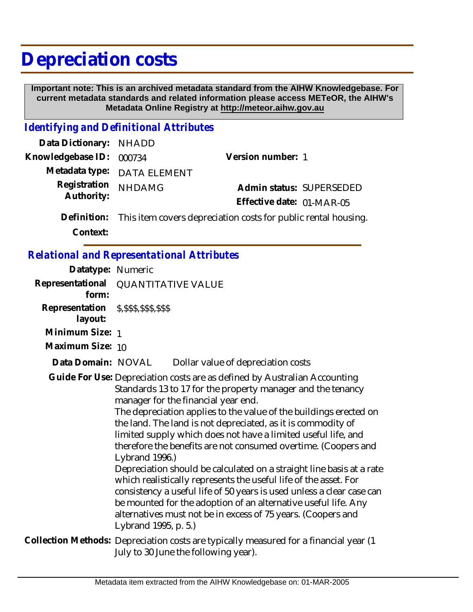## **Depreciation costs**

 **Important note: This is an archived metadata standard from the AIHW Knowledgebase. For current metadata standards and related information please access METeOR, the AIHW's Metadata Online Registry at http://meteor.aihw.gov.au**

## *Identifying and Definitional Attributes*

| Data Dictionary: NHADD   |                                                                            |                           |                          |
|--------------------------|----------------------------------------------------------------------------|---------------------------|--------------------------|
| Knowledgebase ID: 000734 |                                                                            | Version number: 1         |                          |
|                          | Metadata type: DATA ELEMENT                                                |                           |                          |
| Registration             | <b>NHDAMG</b>                                                              |                           | Admin status: SUPERSEDED |
| Authority:               |                                                                            | Effective date: 01-MAR-05 |                          |
|                          | Definition: This item covers depreciation costs for public rental housing. |                           |                          |

**Context:**

## *Relational and Representational Attributes*

| Datatype: Numeric                                    |                                                                                                                                                                                                                                                                                                                                                                                                                                                                                                                                                                                                                                                                                                                                                                                                                                                          |
|------------------------------------------------------|----------------------------------------------------------------------------------------------------------------------------------------------------------------------------------------------------------------------------------------------------------------------------------------------------------------------------------------------------------------------------------------------------------------------------------------------------------------------------------------------------------------------------------------------------------------------------------------------------------------------------------------------------------------------------------------------------------------------------------------------------------------------------------------------------------------------------------------------------------|
| form:                                                | Representational QUANTITATIVE VALUE                                                                                                                                                                                                                                                                                                                                                                                                                                                                                                                                                                                                                                                                                                                                                                                                                      |
| Representation \$, \$\$\$, \$\$\$, \$\$\$<br>layout: |                                                                                                                                                                                                                                                                                                                                                                                                                                                                                                                                                                                                                                                                                                                                                                                                                                                          |
| Minimum Size: 1                                      |                                                                                                                                                                                                                                                                                                                                                                                                                                                                                                                                                                                                                                                                                                                                                                                                                                                          |
| Maximum Size: 10                                     |                                                                                                                                                                                                                                                                                                                                                                                                                                                                                                                                                                                                                                                                                                                                                                                                                                                          |
| Data Domain: NOVAL                                   | Dollar value of depreciation costs                                                                                                                                                                                                                                                                                                                                                                                                                                                                                                                                                                                                                                                                                                                                                                                                                       |
|                                                      | Guide For Use: Depreciation costs are as defined by Australian Accounting<br>Standards 13 to 17 for the property manager and the tenancy<br>manager for the financial year end.<br>The depreciation applies to the value of the buildings erected on<br>the land. The land is not depreciated, as it is commodity of<br>limited supply which does not have a limited useful life, and<br>therefore the benefits are not consumed overtime. (Coopers and<br>Lybrand 1996.)<br>Depreciation should be calculated on a straight line basis at a rate<br>which realistically represents the useful life of the asset. For<br>consistency a useful life of 50 years is used unless a clear case can<br>be mounted for the adoption of an alternative useful life. Any<br>alternatives must not be in excess of 75 years. (Coopers and<br>Lybrand 1995, p. 5.) |
|                                                      | Collection Methods: Depreciation costs are typically measured for a financial year (1<br>July to 30 June the following year).                                                                                                                                                                                                                                                                                                                                                                                                                                                                                                                                                                                                                                                                                                                            |